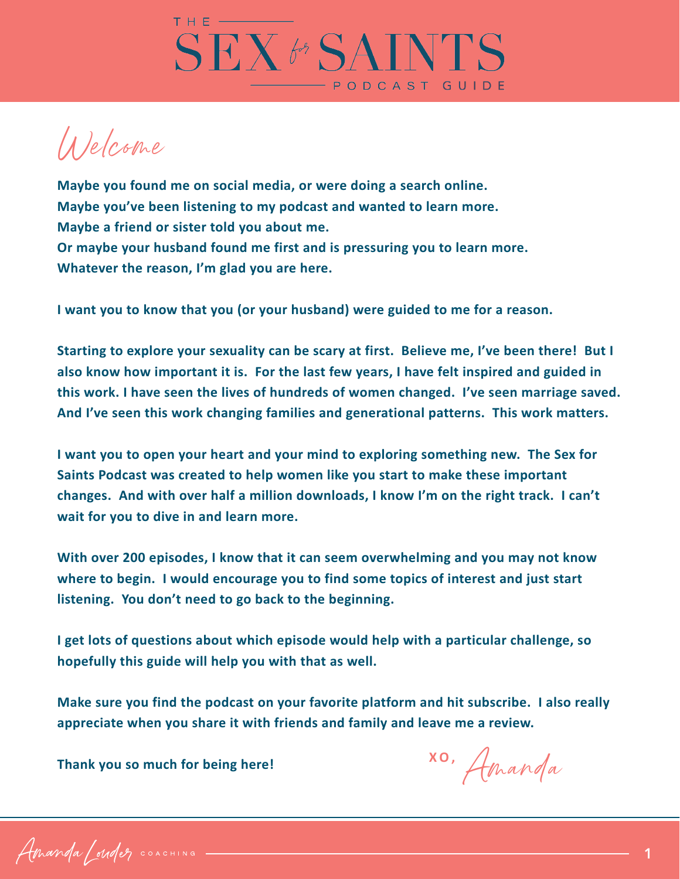

Welcome

**Maybe you found me on social media, or were doing a search online. Maybe you've been listening to my podcast and wanted to learn more. Maybe a friend or sister told you about me. Or maybe your husband found me first and is pressuring you to learn more. Whatever the reason, I'm glad you are here.**

**I want you to know that you (or your husband) were guided to me for a reason.** 

**Starting to explore your sexuality can be scary at first. Believe me, I've been there! But I also know how important it is. For the last few years, I have felt inspired and guided in this work. I have seen the lives of hundreds of women changed. I've seen marriage saved. And I've seen this work changing families and generational patterns. This work matters.**

**I want you to open your heart and your mind to exploring something new. The Sex for Saints Podcast was created to help women like you start to make these important changes. And with over half a million downloads, I know I'm on the right track. I can't wait for you to dive in and learn more.**

**With over 200 episodes, I know that it can seem overwhelming and you may not know where to begin. I would encourage you to find some topics of interest and just start listening. You don't need to go back to the beginning.**

**I get lots of questions about which episode would help with a particular challenge, so hopefully this guide will help you with that as well.**

**Make sure you find the podcast on your favorite platform and hit subscribe. I also really appreciate when you share it with friends and family and leave me a review.**

**Thank you so much for being here!**

Amanda **XO,**

Amanda Condez COACHING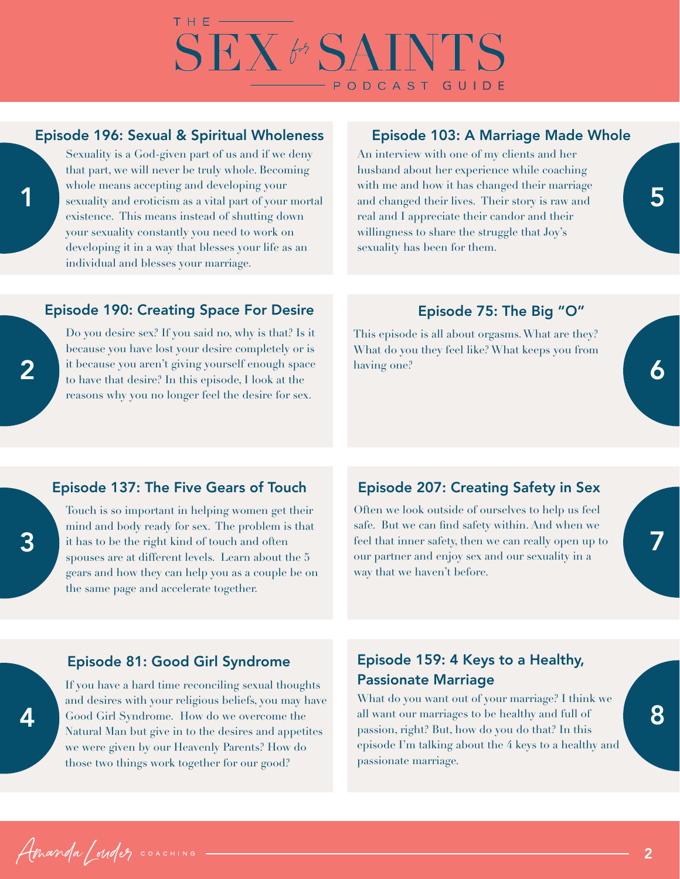

## Episode 196: Sexual & Spiritual Wholeness

Sexuality is a God-given part of us and if we deny that part, we will never be truly whole. Becoming whole means accepting and developing your sexuality and eroticism as a vital part of your mortal existence. This means instead of shutting down your sexuality constantly you need to work on developing it in a way that blesses your life as an individual and blesses your marriage.

### Episode 103: A Marriage Made Whole

An interview with one of my clients and her husband about her experience while coaching with me and how it has changed their marriage and changed their lives. Their story is raw and real and I appreciate their candor and their willingness to share the struggle that Joy's sexuality has been for them.

### Episode 190: Creating Space For Desire

Do you desire sex? If you said no, why is that? Is it because you have lost your desire completely or is it because you aren't giving yourself enough space to have that desire? In this episode, I look at the reasons why you no longer feel the desire for sex.

### Episode 75: The Big "O"

This episode is all about orgasms. What are they? What do you they feel like? What keeps you from having one?

### Episode 137: The Five Gears of Touch

Touch is so important in helping women get their mind and body ready for sex. The problem is that it has to be the right kind of touch and often spouses are at different levels. Learn about the 5 gears and how they can help you as a couple be on the same page and accelerate together.

## Episode 207: Creating Safety in Sex

Often we look outside of ourselves to help us feel safe. But we can find safety within. And when we feel that inner safety, then we can really open up to our partner and enjoy sex and our sexuality in a way that we haven't before.

 $\boldsymbol{\varLambda}$ 

Amanda / Maler COACHING

1

2

### Episode 81: Good Girl Syndrome

If you have a hard time reconciling sexual thoughts and desires with your religious beliefs, you may have Good Girl Syndrome. How do we overcome the Natural Man but give in to the desires and appetites we were given by our Heavenly Parents? How do those two things work together for our good?

# Episode 159: 4 Keys to a Healthy, Passionate Marriage

What do you want out of your marriage? I think we all want our marriages to be healthy and full of passion, right? But, how do you do that? In this episode I'm talking about the 4 keys to a healthy and passionate marriage.

[2](https://amandalouder.com/)

7

6

5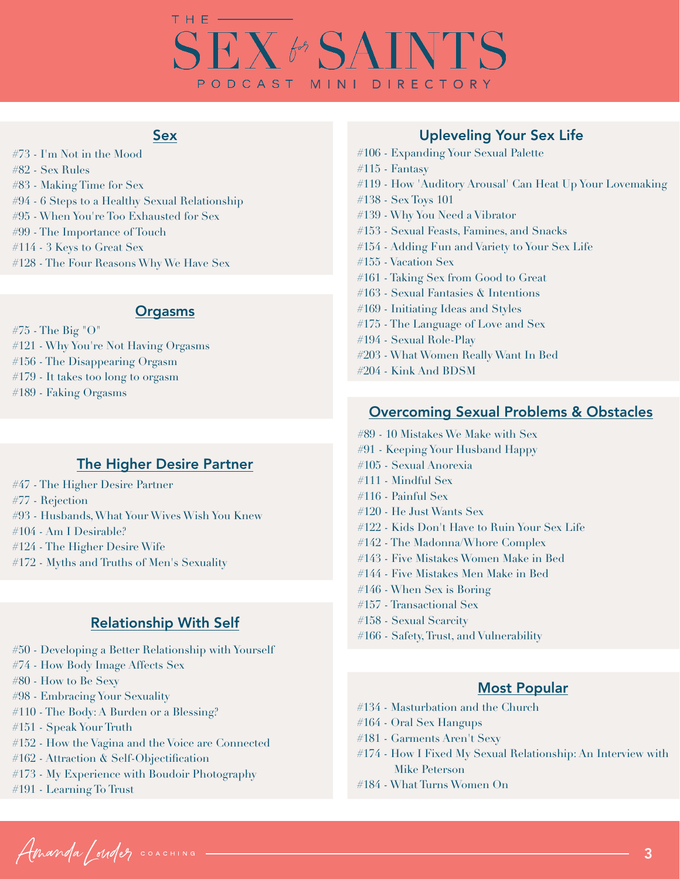# **SEX & SAINTS** PODCAST MINI DIRECTORY

### Sex

#73 - I'm Not in the Mood #82 - Sex Rules #83 - Making Time for Sex #94 - 6 Steps to a Healthy Sexual Relationship #95 - When You're Too Exhausted for Sex #99 - The Importance of Touch #114 - 3 Keys to Great Sex #128 - The Four Reasons Why We Have Sex

### **Orgasms**

#75 - The Big "O" #121 - Why You're Not Having Orgasms #156 - The Disappearing Orgasm #179 - It takes too long to orgasm

#189 - Faking Orgasms

## The Higher Desire Partner

- #47 The Higher Desire Partner
- #77 Rejection
- #93 Husbands, What Your Wives Wish You Knew
- #104 Am I Desirable?
- #124 The Higher Desire Wife
- #172 Myths and Truths of Men's Sexuality

## Relationship With Self

- #50 Developing a Better Relationship with Yourself
- #74 How Body Image Affects Sex
- #80 How to Be Sexy
- #98 Embracing Your Sexuality
- #110 The Body: A Burden or a Blessing?
- #151 Speak Your Truth
- #152 How the Vagina and the Voice are Connected
- #162 Attraction & Self-Objectification
- #173 My Experience with Boudoir Photography
- #191 Learning To Trust

## Upleveling Your Sex Life

- #106 Expanding Your Sexual Palette
- #115 Fantasy
- #119 How 'Auditory Arousal' Can Heat Up Your Lovemaking
- #138 Sex Toys 101
- #139 Why You Need a Vibrator
- #153 Sexual Feasts, Famines, and Snacks
- #154 Adding Fun and Variety to Your Sex Life
- #155 Vacation Sex
- #161 Taking Sex from Good to Great
- #163 Sexual Fantasies & Intentions
- #169 Initiating Ideas and Styles
- #175 The Language of Love and Sex
- #194 Sexual Role-Play
- #203 What Women Really Want In Bed
- #204 Kink And BDSM

### Overcoming Sexual Problems & Obstacles

- #89 10 Mistakes We Make with Sex
- #91 Keeping Your Husband Happy
- #105 Sexual Anorexia
- #111 Mindful Sex
- #116 Painful Sex
- #120 He Just Wants Sex
- #122 Kids Don't Have to Ruin Your Sex Life
- #142 The Madonna/Whore Complex
- #143 Five Mistakes Women Make in Bed
- #144 Five Mistakes Men Make in Bed
- #146 When Sex is Boring
- #157 Transactional Sex
- #158 Sexual Scarcity
- #166 Safety, Trust, and Vulnerability

#### Most Popular

- #134 Masturbation and the Church
- #164 Oral Sex Hangups
- #181 Garments Aren't Sexy
- #174 How I Fixed My Sexual Relationship: An Interview with Mike Peterson
- #184 What Turns Women On

Amanda / Maler COACHING